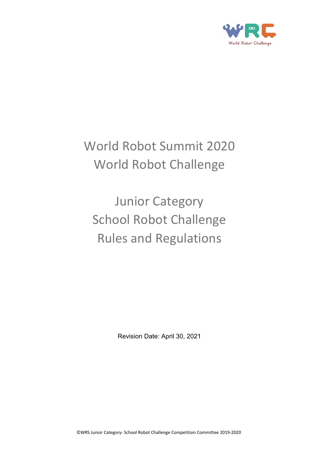

# World Robot Summit 2020 World Robot Challenge

Junior Category School Robot Challenge Rules and Regulations

Revision Date: April 30, 2021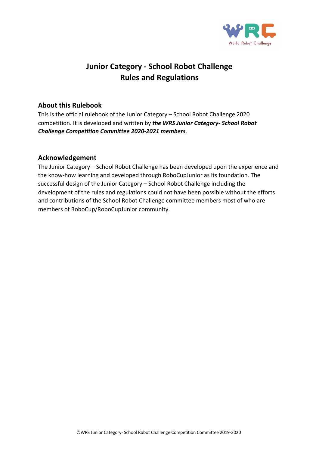

## **Junior Category - School Robot Challenge Rules and Regulations**

#### **About this Rulebook**

This is the official rulebook of the Junior Category – School Robot Challenge 2020 competition. It is developed and written by *the WRS Junior Category- School Robot Challenge Competition Committee 2020-2021 members*.

#### **Acknowledgement**

The Junior Category – School Robot Challenge has been developed upon the experience and the know-how learning and developed through RoboCupJunior as its foundation. The successful design of the Junior Category – School Robot Challenge including the development of the rules and regulations could not have been possible without the efforts and contributions of the School Robot Challenge committee members most of who are members of RoboCup/RoboCupJunior community.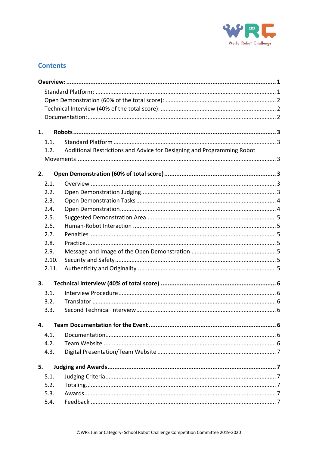

## **Contents**

| 1.    |                                                                        |  |  |
|-------|------------------------------------------------------------------------|--|--|
| 1.1.  |                                                                        |  |  |
| 1.2.  | Additional Restrictions and Advice for Designing and Programming Robot |  |  |
|       |                                                                        |  |  |
| 2.    |                                                                        |  |  |
| 2.1.  |                                                                        |  |  |
| 2.2.  |                                                                        |  |  |
| 2.3.  |                                                                        |  |  |
| 2.4.  |                                                                        |  |  |
| 2.5.  |                                                                        |  |  |
| 2.6.  |                                                                        |  |  |
| 2.7.  |                                                                        |  |  |
| 2.8.  |                                                                        |  |  |
| 2.9.  |                                                                        |  |  |
| 2.10. |                                                                        |  |  |
| 2.11. |                                                                        |  |  |
| 3.    |                                                                        |  |  |
| 3.1.  |                                                                        |  |  |
| 3.2.  |                                                                        |  |  |
| 3.3.  |                                                                        |  |  |
| 4.    |                                                                        |  |  |
| 4.1.  |                                                                        |  |  |
| 4.2.  |                                                                        |  |  |
| 4.3.  |                                                                        |  |  |
| 5.    |                                                                        |  |  |
| 5.1.  |                                                                        |  |  |
| 5.2.  |                                                                        |  |  |
| 5.3.  |                                                                        |  |  |
| 5.4.  |                                                                        |  |  |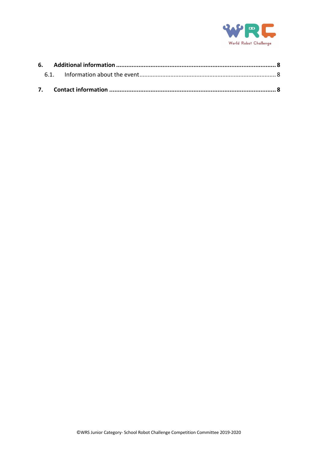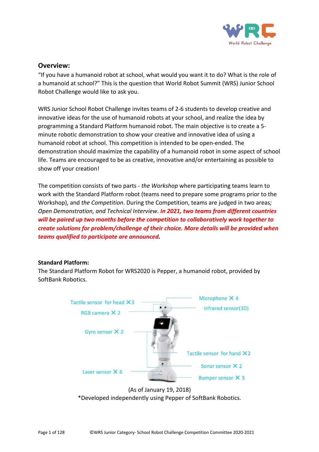

#### **Overview:**

"If you have a humanoid robot at school, what would you want it to do? What is the role of a humanoid at school?" This is the question that World Robot Summit (WRS) Junior School Robot Challenge would like to ask you.

WRS Junior School Robot Challenge invites teams of 2-6 students to develop creative and innovative ideas for the use of humanoid robots at your school, and realize the idea by programming a Standard Platform humanoid robot. The main objective is to create a 5 minute robotic demonstration to show your creative and innovative idea of using a humanoid robot at school. This competition is intended to be open-ended. The demonstration should maximize the capability of a humanoid robot in some aspect of school life. Teams are encouraged to be as creative, innovative and/or entertaining as possible to show off your creation!

The competition consists of two parts - *the Workshop* where participating teams learn to work with the Standard Platform robot (teams need to prepare some programs prior to the Workshop), and *the Competition*. During the Competition, teams are judged in two areas*; Open Demonstration, and Technical Interview*. *In 2021, two teams from different countries will be paired up two months before the competition to collaboratively work together to create solutions for problem/challenge of their choice. More details will be provided when teams qualified to participate are announced.*

#### **Standard Platform:**

The Standard Platform Robot for WRS2020 is Pepper, a humanoid robot, provided by SoftBank Robotics.



(As of January 19, 2018) \*Developed independently using Pepper of SoftBank Robotics.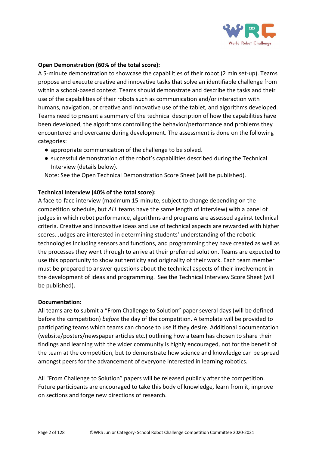

#### **Open Demonstration (60% of the total score):**

A 5-minute demonstration to showcase the capabilities of their robot (2 min set-up). Teams propose and execute creative and innovative tasks that solve an identifiable challenge from within a school-based context. Teams should demonstrate and describe the tasks and their use of the capabilities of their robots such as communication and/or interaction with humans, navigation, or creative and innovative use of the tablet, and algorithms developed. Teams need to present a summary of the technical description of how the capabilities have been developed, the algorithms controlling the behavior/performance and problems they encountered and overcame during development. The assessment is done on the following categories:

- appropriate communication of the challenge to be solved.
- successful demonstration of the robot's capabilities described during the Technical Interview (details below).

Note: See the Open Technical Demonstration Score Sheet (will be published).

#### **Technical Interview (40% of the total score):**

A face-to-face interview (maximum 15-minute, subject to change depending on the competition schedule, but *ALL* teams have the same length of interview) with a panel of judges in which robot performance, algorithms and programs are assessed against technical criteria. Creative and innovative ideas and use of technical aspects are rewarded with higher scores. Judges are interested in determining students' understanding of the robotic technologies including sensors and functions, and programming they have created as well as the processes they went through to arrive at their preferred solution. Teams are expected to use this opportunity to show authenticity and originality of their work. Each team member must be prepared to answer questions about the technical aspects of their involvement in the development of ideas and programming. See the Technical Interview Score Sheet (will be published).

#### **Documentation:**

All teams are to submit a "From Challenge to Solution" paper several days (will be defined before the competition) *before* the day of the competition. A template will be provided to participating teams which teams can choose to use if they desire. Additional documentation (website/posters/newspaper articles etc.) outlining how a team has chosen to share their findings and learning with the wider community is highly encouraged, not for the benefit of the team at the competition, but to demonstrate how science and knowledge can be spread amongst peers for the advancement of everyone interested in learning robotics.

All "From Challenge to Solution" papers will be released publicly after the competition. Future participants are encouraged to take this body of knowledge, learn from it, improve on sections and forge new directions of research.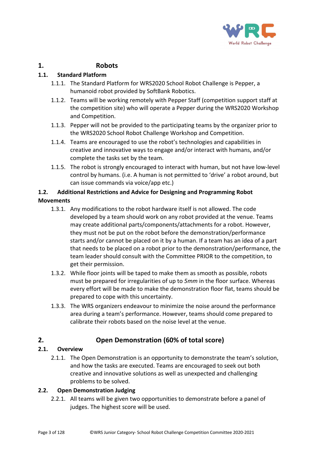

## **1. Robots**

## **1.1. Standard Platform**

- 1.1.1. The Standard Platform for WRS2020 School Robot Challenge is Pepper, a humanoid robot provided by SoftBank Robotics.
- 1.1.2. Teams will be working remotely with Pepper Staff (competition support staff at the competition site) who will operate a Pepper during the WRS2020 Workshop and Competition.
- 1.1.3. Pepper will not be provided to the participating teams by the organizer prior to the WRS2020 School Robot Challenge Workshop and Competition.
- 1.1.4. Teams are encouraged to use the robot's technologies and capabilities in creative and innovative ways to engage and/or interact with humans, and/or complete the tasks set by the team.
- 1.1.5. The robot is strongly encouraged to interact with human, but not have low-level control by humans. (i.e. A human is not permitted to 'drive' a robot around, but can issue commands via voice/app etc.)

## **1.2. Additional Restrictions and Advice for Designing and Programming Robot Movements**

- 1.3.1. Any modifications to the robot hardware itself is not allowed. The code developed by a team should work on any robot provided at the venue. Teams may create additional parts/components/attachments for a robot. However, they must not be put on the robot before the demonstration/performance starts and/or cannot be placed on it by a human. If a team has an idea of a part that needs to be placed on a robot prior to the demonstration/performance, the team leader should consult with the Committee PRIOR to the competition, to get their permission.
- 1.3.2. While floor joints will be taped to make them as smooth as possible, robots must be prepared for irregularities of up to *5mm* in the floor surface. Whereas every effort will be made to make the demonstration floor flat, teams should be prepared to cope with this uncertainty.
- 1.3.3. The WRS organizers endeavour to minimize the noise around the performance area during a team's performance. However, teams should come prepared to calibrate their robots based on the noise level at the venue.

## **2. Open Demonstration (60% of total score)**

## **2.1. Overview**

2.1.1. The Open Demonstration is an opportunity to demonstrate the team's solution, and how the tasks are executed. Teams are encouraged to seek out both creative and innovative solutions as well as unexpected and challenging problems to be solved.

## **2.2. Open Demonstration Judging**

2.2.1. All teams will be given two opportunities to demonstrate before a panel of judges. The highest score will be used.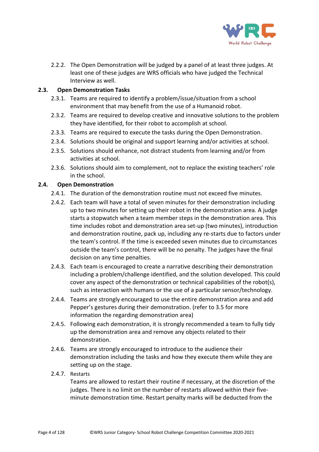

2.2.2. The Open Demonstration will be judged by a panel of at least three judges. At least one of these judges are WRS officials who have judged the Technical Interview as well.

#### **2.3. Open Demonstration Tasks**

- 2.3.1. Teams are required to identify a problem/issue/situation from a school environment that may benefit from the use of a Humanoid robot.
- 2.3.2. Teams are required to develop creative and innovative solutions to the problem they have identified, for their robot to accomplish at school.
- 2.3.3. Teams are required to execute the tasks during the Open Demonstration.
- 2.3.4. Solutions should be original and support learning and/or activities at school.
- 2.3.5. Solutions should enhance, not distract students from learning and/or from activities at school.
- 2.3.6. Solutions should aim to complement, not to replace the existing teachers' role in the school.

#### **2.4. Open Demonstration**

- 2.4.1. The duration of the demonstration routine must not exceed five minutes.
- 2.4.2. Each team will have a total of seven minutes for their demonstration including up to two minutes for setting up their robot in the demonstration area. A judge starts a stopwatch when a team member steps in the demonstration area. This time includes robot and demonstration area set-up (two minutes), introduction and demonstration routine, pack up, including any re-starts due to factors under the team's control. If the time is exceeded seven minutes due to circumstances outside the team's control, there will be no penalty. The judges have the final decision on any time penalties.
- 2.4.3. Each team is encouraged to create a narrative describing their demonstration including a problem/challenge identified, and the solution developed. This could cover any aspect of the demonstration or technical capabilities of the robot(s), such as interaction with humans or the use of a particular sensor/technology.
- 2.4.4. Teams are strongly encouraged to use the entire demonstration area and add Pepper's gestures during their demonstration. (refer to 3.5 for more information the regarding demonstration area)
- 2.4.5. Following each demonstration, it is strongly recommended a team to fully tidy up the demonstration area and remove any objects related to their demonstration.
- 2.4.6. Teams are strongly encouraged to introduce to the audience their demonstration including the tasks and how they execute them while they are setting up on the stage.
- 2.4.7. Restarts

Teams are allowed to restart their routine if necessary, at the discretion of the judges. There is no limit on the number of restarts allowed within their fiveminute demonstration time. Restart penalty marks will be deducted from the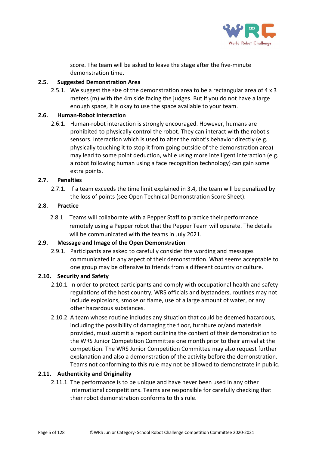

score. The team will be asked to leave the stage after the five-minute demonstration time.

#### **2.5. Suggested Demonstration Area**

2.5.1. We suggest the size of the demonstration area to be a rectangular area of 4 x 3 meters (m) with the 4m side facing the judges. But if you do not have a large enough space, it is okay to use the space available to your team.

#### **2.6. Human-Robot Interaction**

2.6.1. Human-robot interaction is strongly encouraged. However, humans are prohibited to physically control the robot. They can interact with the robot's sensors. Interaction which is used to alter the robot's behavior directly (e.g. physically touching it to stop it from going outside of the demonstration area) may lead to some point deduction, while using more intelligent interaction (e.g. a robot following human using a face recognition technology) can gain some extra points.

#### **2.7. Penalties**

2.7.1. If a team exceeds the time limit explained in 3.4, the team will be penalized by the loss of points (see Open Technical Demonstration Score Sheet).

#### **2.8. Practice**

2.8.1 Teams will collaborate with a Pepper Staff to practice their performance remotely using a Pepper robot that the Pepper Team will operate. The details will be communicated with the teams in July 2021.

#### **2.9. Message and Image of the Open Demonstration**

2.9.1. Participants are asked to carefully consider the wording and messages communicated in any aspect of their demonstration. What seems acceptable to one group may be offensive to friends from a different country or culture.

#### **2.10. Security and Safety**

- 2.10.1. In order to protect participants and comply with occupational health and safety regulations of the host country, WRS officials and bystanders, routines may not include explosions, smoke or flame, use of a large amount of water, or any other hazardous substances.
- 2.10.2. A team whose routine includes any situation that could be deemed hazardous, including the possibility of damaging the floor, furniture or/and materials provided, must submit a report outlining the content of their demonstration to the WRS Junior Competition Committee one month prior to their arrival at the competition. The WRS Junior Competition Committee may also request further explanation and also a demonstration of the activity before the demonstration. Teams not conforming to this rule may not be allowed to demonstrate in public.

#### **2.11. Authenticity and Originality**

2.11.1. The performance is to be unique and have never been used in any other International competitions. Teams are responsible for carefully checking that their robot demonstration conforms to this rule.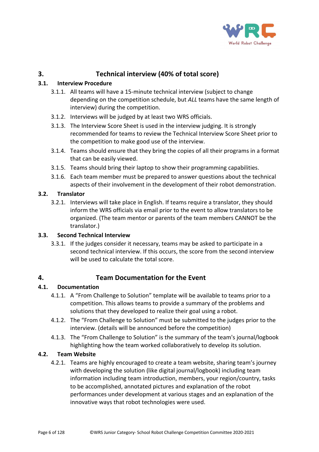

## **3. Technical interview (40% of total score)**

#### **3.1. Interview Procedure**

- 3.1.1. All teams will have a 15-minute technical interview (subject to change depending on the competition schedule, but *ALL* teams have the same length of interview) during the competition.
- 3.1.2. Interviews will be judged by at least two WRS officials.
- 3.1.3. The Interview Score Sheet is used in the interview judging. It is strongly recommended for teams to review the Technical Interview Score Sheet prior to the competition to make good use of the interview.
- 3.1.4. Teams should ensure that they bring the copies of all their programs in a format that can be easily viewed.
- 3.1.5. Teams should bring their laptop to show their programming capabilities.
- 3.1.6. Each team member must be prepared to answer questions about the technical aspects of their involvement in the development of their robot demonstration.

#### **3.2. Translator**

3.2.1. Interviews will take place in English. If teams require a translator, they should inform the WRS officials via email prior to the event to allow translators to be organized. (The team mentor or parents of the team members CANNOT be the translator.)

#### **3.3. Second Technical Interview**

3.3.1. If the judges consider it necessary, teams may be asked to participate in a second technical interview. If this occurs, the score from the second interview will be used to calculate the total score.

#### **4. Team Documentation for the Event**

#### **4.1. Documentation**

- 4.1.1. A "From Challenge to Solution" template will be available to teams prior to a competition. This allows teams to provide a summary of the problems and solutions that they developed to realize their goal using a robot.
- 4.1.2. The "From Challenge to Solution" must be submitted to the judges prior to the interview. (details will be announced before the competition)
- 4.1.3. The "From Challenge to Solution" is the summary of the team's journal/logbook highlighting how the team worked collaboratively to develop its solution.

#### **4.2. Team Website**

4.2.1. Teams are highly encouraged to create a team website, sharing team's journey with developing the solution (like digital journal/logbook) including team information including team introduction, members, your region/country, tasks to be accomplished, annotated pictures and explanation of the robot performances under development at various stages and an explanation of the innovative ways that robot technologies were used.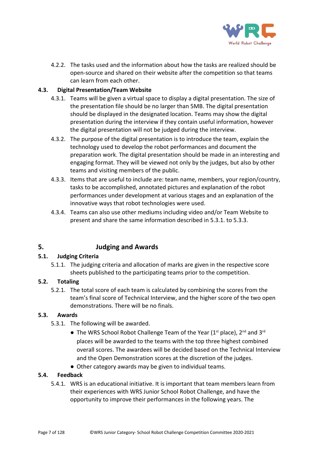

4.2.2. The tasks used and the information about how the tasks are realized should be open-source and shared on their website after the competition so that teams can learn from each other.

#### **4.3. Digital Presentation/Team Website**

- 4.3.1. Teams will be given a virtual space to display a digital presentation. The size of the presentation file should be no larger than 5MB. The digital presentation should be displayed in the designated location. Teams may show the digital presentation during the interview if they contain useful information, however the digital presentation will not be judged during the interview.
- 4.3.2. The purpose of the digital presentation is to introduce the team, explain the technology used to develop the robot performances and document the preparation work. The digital presentation should be made in an interesting and engaging format. They will be viewed not only by the judges, but also by other teams and visiting members of the public.
- 4.3.3. Items that are useful to include are: team name, members, your region/country, tasks to be accomplished, annotated pictures and explanation of the robot performances under development at various stages and an explanation of the innovative ways that robot technologies were used.
- 4.3.4. Teams can also use other mediums including video and/or Team Website to present and share the same information described in 5.3.1. to 5.3.3.

## **5. Judging and Awards**

#### **5.1. Judging Criteria**

5.1.1. The judging criteria and allocation of marks are given in the respective score sheets published to the participating teams prior to the competition.

#### **5.2. Totaling**

5.2.1. The total score of each team is calculated by combining the scores from the team's final score of Technical Interview, and the higher score of the two open demonstrations. There will be no finals.

#### **5.3. Awards**

- 5.3.1. The following will be awarded.
	- The WRS School Robot Challenge Team of the Year ( $1<sup>st</sup>$  place),  $2<sup>nd</sup>$  and  $3<sup>rd</sup>$ places will be awarded to the teams with the top three highest combined overall scores. The awardees will be decided based on the Technical Interview and the Open Demonstration scores at the discretion of the judges.
	- Other category awards may be given to individual teams.

#### **5.4. Feedback**

5.4.1. WRS is an educational initiative. It is important that team members learn from their experiences with WRS Junior School Robot Challenge, and have the opportunity to improve their performances in the following years. The